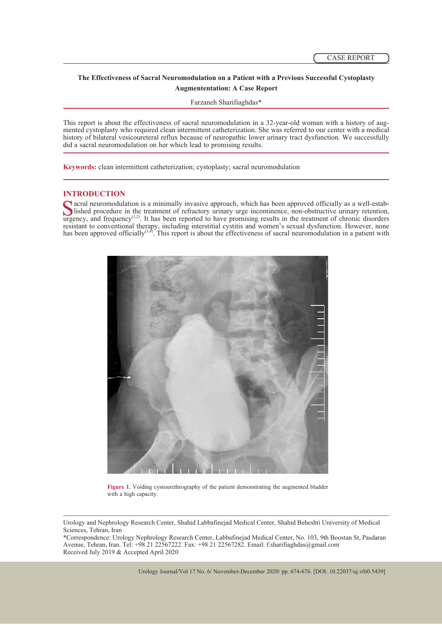# **The Effectiveness of Sacral Neuromodulation on a Patient with a Previous Successful Cystoplasty Augmententation: A Case Report**

Farzaneh Sharifiaghdas\*

This report is about the effectiveness of sacral neuromodulation in a 32-year-old woman with a history of aug- mented cystoplasty who required clean intermittent catheterization. She was referred to our center with a medical history of bilateral vesicoureteral reflux because of neuropathic lower urinary tract dysfunction. We successfully did a sacral neuromodulation on her which lead to promising results.

**Keywords:** clean intermittent catheterization; cystoplasty; sacral neuromodulation

**INTRODUCTION**<br> **C** acral neuromodulation is a minimally invasive approach, which has been approved officially as a well-estab-Sacral neuromodulation is a minimally invasive approach, which has been approved officially as a well-established procedure in the treatment of refractory urinary urge incontinence, non-obstructive urinary retention, urge resistant to conventional therapy, including interstitial cystitis and women's sexual dysfunction. However, none has been approved officially<sup>(3,4)</sup>. This report is about the effectiveness of sacral neuromodulation in a patient with



Figure 1. Voiding cystourethrography of the patient demonstrating the augmented bladder with a high capacity.

\*Correspondence: Urology Nephrology Research Center, Labbafinejad Medical Center, No. 103, 9th Boostan St, Pasdaran Avenue, Tehran, Iran. Tel: +98 21 22567222. Fax: +98 21 22567282. Email: f.sharifiaghdas@gmail.com Received July 2019 & Accepted April 2020

Urology and Nephrology Research Center, Shahid Labbafinejad Medical Center, Shahid Beheshti University of Medical Sciences, Tehran, Iran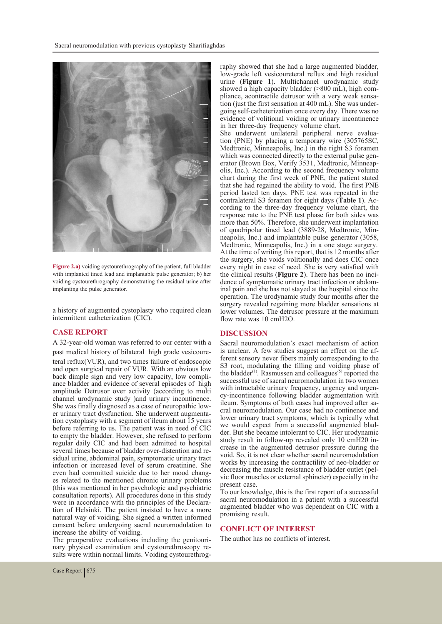

**Figure 2.a)** voiding cystourethrography of the patient, full bladder with implanted tined lead and implantable pulse generator; b) her voiding cystourethrography demonstrating the residual urine after implanting the pulse generator.

a history of augmented cystoplasty who required clean intermittent catheterization (CIC).

#### **CASE REPORT**

A 32-year-old woman was referred to our center with a past medical history of bilateral high grade vesicoureteral reflux(VUR), and two times failure of endoscopic and open surgical repair of VUR. With an obvious low back dimple sign and very low capacity, low compliance bladder and evidence of several episodes of high amplitude Detrusor over activity (according to multi channel urodynamic study ) and urinary incontinence.<br>She was finally diagnosed as a case of neuropathic lower urinary tract dysfunction. She underwent augmenta-<br>tion cystoplasty with a segment of ileum about 15 years before referring to us. The patient was in need of CIC to empty the bladder. However, she refused to perform regular daily CIC and had been admitted to hospital sidual urine, abdominal pain, symptomatic urinary tract infection or increased level of serum creatinine. She even had committed suicide due to her mood chang- es related to the mentioned chronic urinary problems (this was mentioned in her psychologic and psychiatric consultation reports). All procedures done in this study tion of Helsinki. The patient insisted to have a more natural way of voiding. She signed a written informed consent before undergoing sacral neuromodulation to increase the ability of voiding.<br>The preoperative evaluations including the genitouri-

nary physical examination and cystourethroscopy results were within normal limits. Voiding cystourethrog-

raphy showed that she had a large augmented bladder, low-grade left vesicoureteral reflux and high residual urine (**Figure 1**). Multichannel urodynamic study showed a high capacity bladder (>800 mL), high compliance, acontractile detrusor with a very weak sensa-<br>tion (just the first sensation at 400 mL). She was under-<br>going self-catheterization once every day. There was no evidence of volitional voiding or urinary incontinence in her three-day frequency volume chart.

She underwent unilateral peripheral nerve evaluation (PNE) by placing a temporary wire (305765SC, Medtronic, Minneapolis, Inc.) in the right S3 foramen<br>which was connected directly to the external pulse generator (Brown Box, Verify 3531, Medtronic, Minneap-<br>olis, Inc.). According to the second frequency volume chart during the first week of PNE, the patient stated that she had regained the ability to void. The first PNE period lasted ten days. PNE test was repeated in the contralateral S3 foramen for eight days (**Table 1**). According to the three-day frequency volume chart, the response rate to the PNE test phase for both sides was more than 50%. Therefore, she underwent implantation of quadripolar tined lead (3889-28, Medtronic, Min- neapolis, Inc.) and implantable pulse generator (3058, Medtronic, Minneapolis, Inc.) in a one stage surgery. At the time of writing this report, that is 12 months after the surgery, she voids volitionally and does CIC once every night in case of need. She is very satisfied with the clinical results (**Figure 2**). There has been no incidence of symptomatic urinary tract infection or abdom-<br>inal pain and she has not stayed at the hospital since the operation. The urodynamic study four months after the surgery revealed regaining more bladder sensations at lower volumes. The detrusor pressure at the maximum flow rate was 10 cmH2O.

### **DISCUSSION**

Sacral neuromodulation's exact mechanism of action is unclear. A few studies suggest an effect on the af- ferent sensory never fibers mainly corresponding to the S3 root, modulating the filling and voiding phase of the bladder $(1)$ . Rasmussen and colleagues $(5)$  reported the successful use of sacral neuromodulation in two women<br>with intractable urinary frequency, urgency and urgency-incontinence following bladder augmentation with ileum. Symptoms of both cases had improved after sacral neuromodulation. Our case had no continence and lower urinary tract symptoms, which is typically what we would expect from a successful augmented blad-<br>der. But she became intolerant to CIC. Her urodynamic<br>study result in follow-up revealed only 10 cmH20 increase in the augmented detrusor pressure during the void. So, it is not clear whether sacral neuromodulation works by increasing the contractility of neo-bladder or decreasing the muscle resistance of bladder outlet (pelvic floor muscles or external sphincter) especially in the present case.

To our knowledge, this is the first report of a successful sacral neuromodulation in a patient with a successful augmented bladder who was dependent on CIC with a promising result.

#### **CONFLICT OF INTEREST**

The author has no conflicts of interest.